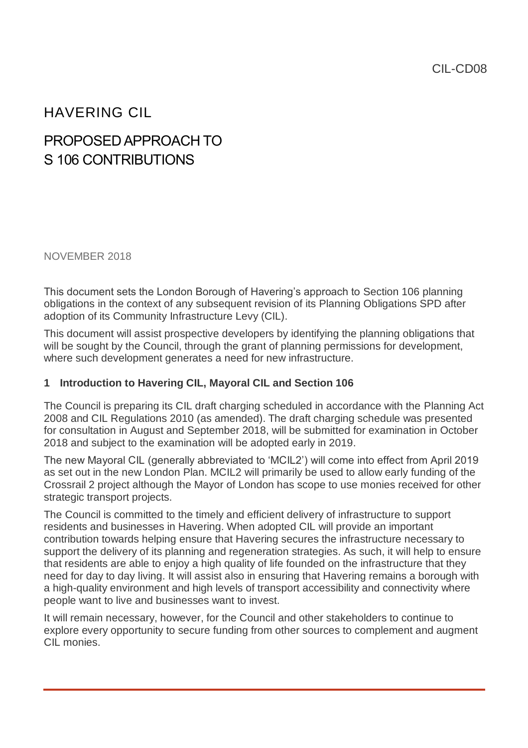## HAVERING CIL

# PROPOSED APPROACH TO S 106 CONTRIBUTIONS

NOVEMBER 2018

This document sets the London Borough of Havering's approach to Section 106 planning obligations in the context of any subsequent revision of its Planning Obligations SPD after adoption of its Community Infrastructure Levy (CIL).

This document will assist prospective developers by identifying the planning obligations that will be sought by the Council, through the grant of planning permissions for development, where such development generates a need for new infrastructure.

#### **1 Introduction to Havering CIL, Mayoral CIL and Section 106**

The Council is preparing its CIL draft charging scheduled in accordance with the Planning Act 2008 and CIL Regulations 2010 (as amended). The draft charging schedule was presented for consultation in August and September 2018, will be submitted for examination in October 2018 and subject to the examination will be adopted early in 2019.

The new Mayoral CIL (generally abbreviated to 'MCIL2') will come into effect from April 2019 as set out in the new London Plan. MCIL2 will primarily be used to allow early funding of the Crossrail 2 project although the Mayor of London has scope to use monies received for other strategic transport projects.

The Council is committed to the timely and efficient delivery of infrastructure to support residents and businesses in Havering. When adopted CIL will provide an important contribution towards helping ensure that Havering secures the infrastructure necessary to support the delivery of its planning and regeneration strategies. As such, it will help to ensure that residents are able to enjoy a high quality of life founded on the infrastructure that they need for day to day living. It will assist also in ensuring that Havering remains a borough with a high-quality environment and high levels of transport accessibility and connectivity where people want to live and businesses want to invest.

It will remain necessary, however, for the Council and other stakeholders to continue to explore every opportunity to secure funding from other sources to complement and augment CIL monies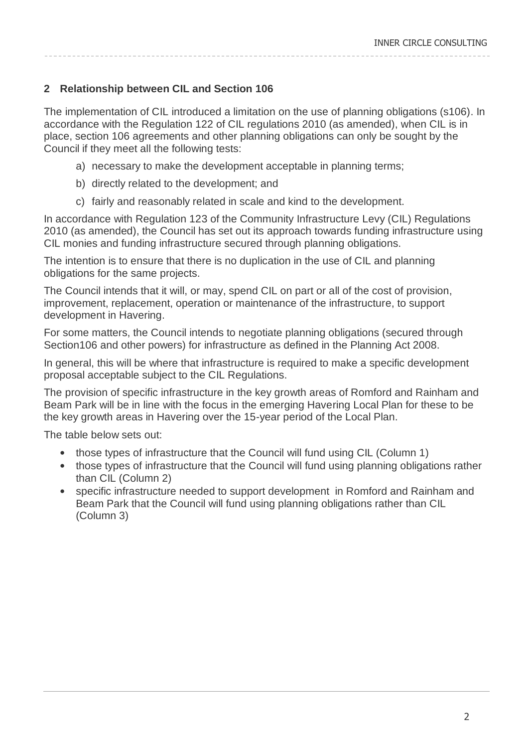### **2 Relationship between CIL and Section 106**

The implementation of CIL introduced a limitation on the use of planning obligations (s106). In accordance with the Regulation 122 of CIL regulations 2010 (as amended), when CIL is in place, section 106 agreements and other planning obligations can only be sought by the Council if they meet all the following tests:

- a) necessary to make the development acceptable in planning terms;
- b) directly related to the development; and
- c) fairly and reasonably related in scale and kind to the development.

In accordance with Regulation 123 of the Community Infrastructure Levy (CIL) Regulations 2010 (as amended), the Council has set out its approach towards funding infrastructure using CIL monies and funding infrastructure secured through planning obligations.

The intention is to ensure that there is no duplication in the use of CIL and planning obligations for the same projects.

The Council intends that it will, or may, spend CIL on part or all of the cost of provision, improvement, replacement, operation or maintenance of the infrastructure, to support development in Havering.

For some matters, the Council intends to negotiate planning obligations (secured through Section106 and other powers) for infrastructure as defined in the Planning Act 2008.

In general, this will be where that infrastructure is required to make a specific development proposal acceptable subject to the CIL Regulations.

The provision of specific infrastructure in the key growth areas of Romford and Rainham and Beam Park will be in line with the focus in the emerging Havering Local Plan for these to be the key growth areas in Havering over the 15-year period of the Local Plan.

The table below sets out:

- those types of infrastructure that the Council will fund using CIL (Column 1)
- those types of infrastructure that the Council will fund using planning obligations rather than CIL (Column 2)
- specific infrastructure needed to support development in Romford and Rainham and Beam Park that the Council will fund using planning obligations rather than CIL (Column 3)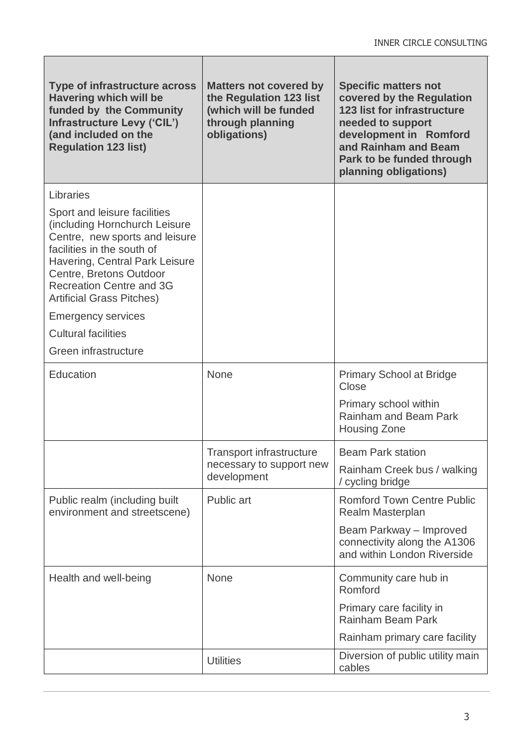| Type of infrastructure across<br><b>Havering which will be</b><br>funded by the Community<br>Infrastructure Levy ('CIL')<br>(and included on the<br><b>Regulation 123 list)</b>                                                                                   | <b>Matters not covered by</b><br>the Regulation 123 list<br>(which will be funded<br>through planning<br>obligations) | <b>Specific matters not</b><br>covered by the Regulation<br><b>123 list for infrastructure</b><br>needed to support<br>development in Romford<br>and Rainham and Beam<br>Park to be funded through<br>planning obligations) |
|-------------------------------------------------------------------------------------------------------------------------------------------------------------------------------------------------------------------------------------------------------------------|-----------------------------------------------------------------------------------------------------------------------|-----------------------------------------------------------------------------------------------------------------------------------------------------------------------------------------------------------------------------|
| Libraries                                                                                                                                                                                                                                                         |                                                                                                                       |                                                                                                                                                                                                                             |
| Sport and leisure facilities<br>(including Hornchurch Leisure<br>Centre, new sports and leisure<br>facilities in the south of<br>Havering, Central Park Leisure<br>Centre, Bretons Outdoor<br><b>Recreation Centre and 3G</b><br><b>Artificial Grass Pitches)</b> |                                                                                                                       |                                                                                                                                                                                                                             |
| <b>Emergency services</b>                                                                                                                                                                                                                                         |                                                                                                                       |                                                                                                                                                                                                                             |
| <b>Cultural facilities</b>                                                                                                                                                                                                                                        |                                                                                                                       |                                                                                                                                                                                                                             |
| Green infrastructure                                                                                                                                                                                                                                              |                                                                                                                       |                                                                                                                                                                                                                             |
| Education                                                                                                                                                                                                                                                         | None                                                                                                                  | <b>Primary School at Bridge</b><br>Close<br>Primary school within<br>Rainham and Beam Park<br><b>Housing Zone</b>                                                                                                           |
|                                                                                                                                                                                                                                                                   |                                                                                                                       |                                                                                                                                                                                                                             |
|                                                                                                                                                                                                                                                                   | <b>Transport infrastructure</b><br>necessary to support new<br>development                                            | <b>Beam Park station</b>                                                                                                                                                                                                    |
|                                                                                                                                                                                                                                                                   |                                                                                                                       | Rainham Creek bus / walking<br>/ cycling bridge                                                                                                                                                                             |
| Public realm (including built<br>environment and streetscene)                                                                                                                                                                                                     | Public art                                                                                                            | <b>Romford Town Centre Public</b><br><b>Realm Masterplan</b>                                                                                                                                                                |
|                                                                                                                                                                                                                                                                   |                                                                                                                       | Beam Parkway - Improved<br>connectivity along the A1306<br>and within London Riverside                                                                                                                                      |
| Health and well-being                                                                                                                                                                                                                                             | <b>None</b>                                                                                                           | Community care hub in<br>Romford                                                                                                                                                                                            |
|                                                                                                                                                                                                                                                                   |                                                                                                                       | Primary care facility in<br><b>Rainham Beam Park</b>                                                                                                                                                                        |
|                                                                                                                                                                                                                                                                   |                                                                                                                       | Rainham primary care facility                                                                                                                                                                                               |
|                                                                                                                                                                                                                                                                   | <b>Utilities</b>                                                                                                      | Diversion of public utility main<br>cables                                                                                                                                                                                  |

Г